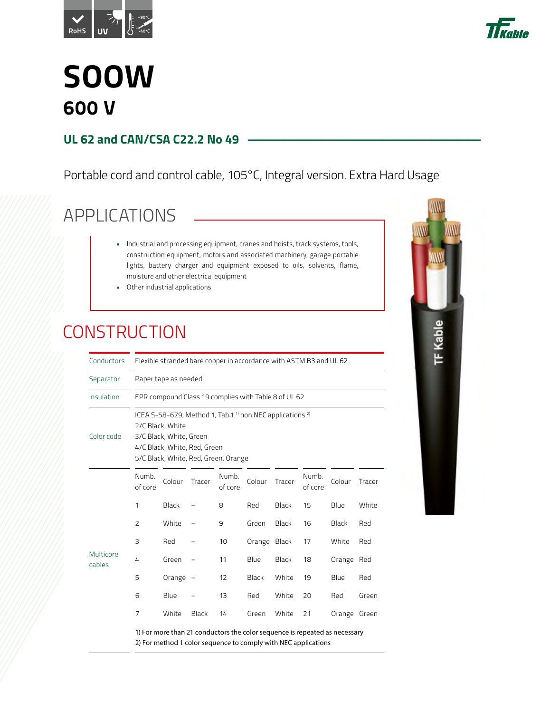



### **SOOW 600 V**

#### **UL 62 and CAN/CSA C22.2 No 49**

#### Portable cord and control cable, 105°C, Integral version. Extra Hard Usage

### APPLICATIONS

- Industrial and processing equipment, cranes and hoists, track systems, tools, construction equipment, motors and associated machinery, garage portable lights, battery charger and equipment exposed to oils, solvents, flame, moisture and other electrical equipment
- Other industrial applications

#### **CONSTRUCTION**

| Conductors          | Flexible stranded bare copper in accordance with ASTM B3 and UL 62 |                                                                                                                                                                                                       |        |                  |              |              |                  |                                                                            |        |  |  |  |  |  |  |
|---------------------|--------------------------------------------------------------------|-------------------------------------------------------------------------------------------------------------------------------------------------------------------------------------------------------|--------|------------------|--------------|--------------|------------------|----------------------------------------------------------------------------|--------|--|--|--|--|--|--|
| Separator           |                                                                    | Paper tape as needed                                                                                                                                                                                  |        |                  |              |              |                  |                                                                            |        |  |  |  |  |  |  |
| Insulation          |                                                                    | EPR compound Class 19 complies with Table 8 of UL 62                                                                                                                                                  |        |                  |              |              |                  |                                                                            |        |  |  |  |  |  |  |
| Color code          |                                                                    | ICEA S-58-679, Method 1, Tab.1 <sup>1</sup> non NEC applications <sup>2)</sup><br>2/C Black, White<br>3/C Black, White, Green<br>4/C Black, White, Red, Green<br>5/C Black, White, Red, Green, Orange |        |                  |              |              |                  |                                                                            |        |  |  |  |  |  |  |
|                     | Numb.<br>of core                                                   | Colour                                                                                                                                                                                                | Tracer | Numb.<br>of core | Colour       | Tracer       | Numb.<br>of core | Colour                                                                     | Tracer |  |  |  |  |  |  |
|                     | 1                                                                  | <b>Black</b>                                                                                                                                                                                          |        | 8                | Red          | <b>Black</b> | 15               | Blue                                                                       | White  |  |  |  |  |  |  |
|                     | $\overline{2}$                                                     | White                                                                                                                                                                                                 |        | 9                | Green        | Black        | 16               | Black                                                                      | Red    |  |  |  |  |  |  |
|                     | 3                                                                  | Red                                                                                                                                                                                                   |        | 10               | Orange Black |              | 17               | White                                                                      | Red    |  |  |  |  |  |  |
| Multicore<br>cables | 4                                                                  | Green                                                                                                                                                                                                 |        | 11               | Blue         | <b>Black</b> | 18               | Orange Red                                                                 |        |  |  |  |  |  |  |
|                     | 5                                                                  | Orange -                                                                                                                                                                                              |        | 12               | Black        | White        | 19               | Blue                                                                       | Red    |  |  |  |  |  |  |
|                     | 6                                                                  | Blue                                                                                                                                                                                                  |        | 13               | Red          | White        | 20               | Red                                                                        | Green  |  |  |  |  |  |  |
|                     | $\overline{7}$                                                     | White                                                                                                                                                                                                 | Black  | 14               | Green        | White        | 21               | Orange Green                                                               |        |  |  |  |  |  |  |
|                     |                                                                    | 2) For method 1 color sequence to comply with NEC applications                                                                                                                                        |        |                  |              |              |                  | 1) For more than 21 conductors the color sequence is repeated as necessary |        |  |  |  |  |  |  |

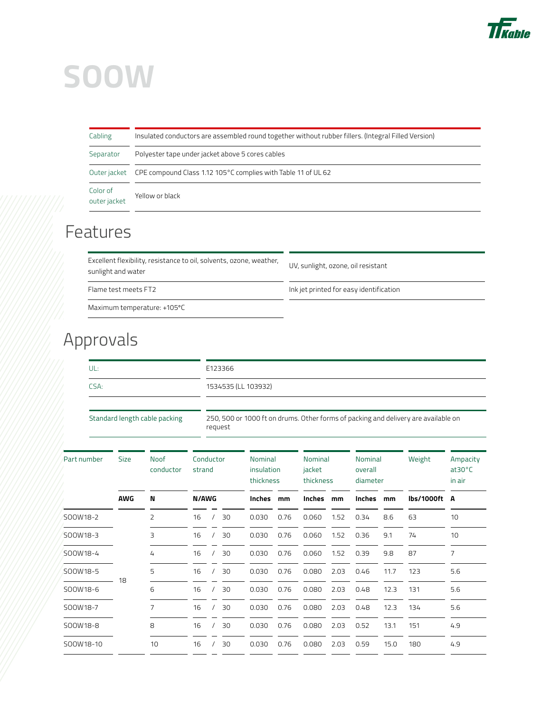

| Cabling                  | Insulated conductors are assembled round together without rubber fillers. (Integral Filled Version) |
|--------------------------|-----------------------------------------------------------------------------------------------------|
| Separator                | Polyester tape under jacket above 5 cores cables                                                    |
| Outer jacket             | CPE compound Class 1.12 105°C complies with Table 11 of UL 62                                       |
| Color of<br>outer jacket | Yellow or black                                                                                     |

#### Features

Excellent flexibility, resistance to oil, solvents, ozone, weather, Excellent riexibility, resistance to oil, solvents, ozone, weather, UV, sunlight, ozone, oil resistant sunlight and water

Flame test meets FT2 **Interpreteration** Ink jet printed for easy identification

Maximum temperature: +105ºC

### Approvals

| .    | E123366             |
|------|---------------------|
| CSA: | 1534535 (LL 103932) |
|      |                     |

Standard length cable packing 250, 500 or 1000 ft on drums. Other forms of packing and delivery are available on request

| Part number | <b>Size</b> | <b>Noof</b><br>conductor | Conductor<br>strand |  | Nominal<br>insulation<br>thickness |        | Nominal<br>jacket<br>thickness |               | Nominal<br>overall<br>diameter |               | Weight | Ampacity<br>$at30^{\circ}$ C<br>in air |     |
|-------------|-------------|--------------------------|---------------------|--|------------------------------------|--------|--------------------------------|---------------|--------------------------------|---------------|--------|----------------------------------------|-----|
|             | <b>AWG</b>  | N                        | <b>N/AWG</b>        |  |                                    | Inches | mm                             | <b>Inches</b> | mm                             | <b>Inches</b> | mm     | lbs/1000ft A                           |     |
| SOOW18-2    |             | $\overline{2}$           | 16                  |  | 30                                 | 0.030  | 0.76                           | 0.060         | 1.52                           | 0.34          | 8.6    | 63                                     | 10  |
| SOOW18-3    |             | 3                        | 16                  |  | 30                                 | 0.030  | 0.76                           | 0.060         | 1.52                           | 0.36          | 9.1    | 74                                     | 10  |
| SOOW18-4    |             | 4                        | 16                  |  | 30                                 | 0.030  | 0.76                           | 0.060         | 1.52                           | 0.39          | 9.8    | 87                                     | 7   |
| SOOW18-5    | 18          | 5                        | 16                  |  | 30                                 | 0.030  | 0.76                           | 0.080         | 2.03                           | 0.46          | 11.7   | 123                                    | 5.6 |
| SOOW18-6    |             | 6                        | 16                  |  | 30                                 | 0.030  | 0.76                           | 0.080         | 2.03                           | 0.48          | 12.3   | 131                                    | 5.6 |
| SOOW18-7    |             | 7                        | 16                  |  | 30                                 | 0.030  | 0.76                           | 0.080         | 2.03                           | 0.48          | 12.3   | 134                                    | 5.6 |
| SOOW18-8    |             | 8                        | 16                  |  | 30                                 | 0.030  | 0.76                           | 0.080         | 2.03                           | 0.52          | 13.1   | 151                                    | 4.9 |
| SOOW18-10   |             | 10                       | 16                  |  | 30                                 | 0.030  | 0.76                           | 0.080         | 2.03                           | 0.59          | 15.0   | 180                                    | 4.9 |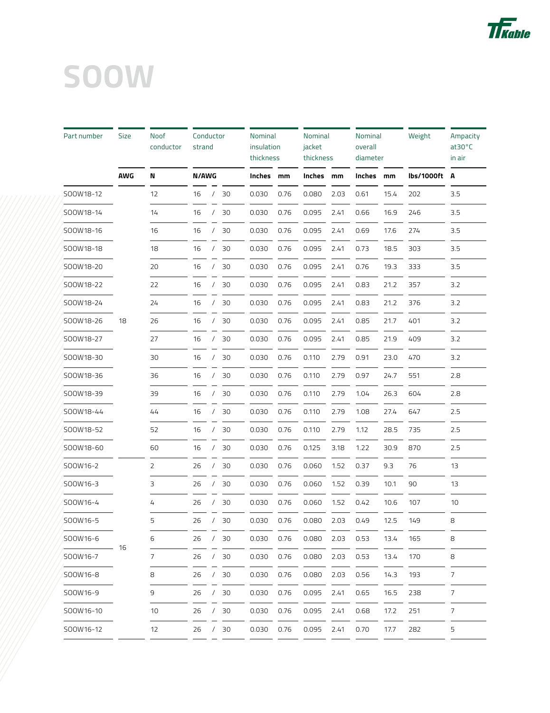

| Part number | <b>Size</b> | Noof<br>conductor | Conductor<br>strand |            |    | Nominal<br>insulation<br>thickness |      | Nominal<br>jacket<br>thickness |      | Nominal<br>overall<br>diameter |      | Weight     | Ampacity<br>$at30^{\circ}$ C<br>in air |
|-------------|-------------|-------------------|---------------------|------------|----|------------------------------------|------|--------------------------------|------|--------------------------------|------|------------|----------------------------------------|
|             | <b>AWG</b>  | N                 | N/AWG               |            |    | Inches                             | mm   | Inches                         | mm   | Inches                         | mm   | lbs/1000ft | A                                      |
| SOOW18-12   |             | 12                | 16                  |            | 30 | 0.030                              | 0.76 | 0.080                          | 2.03 | 0.61                           | 15.4 | 202        | 3.5                                    |
| SOOW18-14   |             | 14                | 16                  | $\prime$   | 30 | 0.030                              | 0.76 | 0.095                          | 2.41 | 0.66                           | 16.9 | 246        | 3.5                                    |
| SOOW18-16   |             | 16                | 16                  |            | 30 | 0.030                              | 0.76 | 0.095                          | 2.41 | 0.69                           | 17.6 | 274        | 3.5                                    |
| SOOW18-18   |             | 18                | 16                  | $\prime$   | 30 | 0.030                              | 0.76 | 0.095                          | 2.41 | 0.73                           | 18.5 | 303        | 3.5                                    |
| SOOW18-20   |             | 20                | 16                  | $\prime$   | 30 | 0.030                              | 0.76 | 0.095                          | 2.41 | 0.76                           | 19.3 | 333        | 3.5                                    |
| SOOW18-22   |             | 22                | 16                  |            | 30 | 0.030                              | 0.76 | 0.095                          | 2.41 | 0.83                           | 21.2 | 357        | 3.2                                    |
| SOOW18-24   |             | 24                | 16                  |            | 30 | 0.030                              | 0.76 | 0.095                          | 2.41 | 0.83                           | 21.2 | 376        | 3.2                                    |
| SOOW18-26   | 18          | 26                | 16                  | $\prime$   | 30 | 0.030                              | 0.76 | 0.095                          | 2.41 | 0.85                           | 21.7 | 401        | 3.2                                    |
| SOOW18-27   |             | 27                | 16                  | $\prime$   | 30 | 0.030                              | 0.76 | 0.095                          | 2.41 | 0.85                           | 21.9 | 409        | 3.2                                    |
| SOOW18-30   |             | 30                | 16                  |            | 30 | 0.030                              | 0.76 | 0.110                          | 2.79 | 0.91                           | 23.0 | 470        | 3.2                                    |
| SOOW18-36   |             | 36                | 16                  | $\prime$   | 30 | 0.030                              | 0.76 | 0.110                          | 2.79 | 0.97                           | 24.7 | 551        | 2.8                                    |
| SOOW18-39   |             | 39                | 16                  |            | 30 | 0.030                              | 0.76 | 0.110                          | 2.79 | 1.04                           | 26.3 | 604        | 2.8                                    |
| SOOW18-44   |             | 44                | 16                  | $\prime$   | 30 | 0.030                              | 0.76 | 0.110                          | 2.79 | 1.08                           | 27.4 | 647        | 2.5                                    |
| SOOW18-52   |             | 52                | 16                  |            | 30 | 0.030                              | 0.76 | 0.110                          | 2.79 | 1.12                           | 28.5 | 735        | 2.5                                    |
| SOOW18-60   |             | 60                | 16                  |            | 30 | 0.030                              | 0.76 | 0.125                          | 3.18 | 1.22                           | 30.9 | 870        | 2.5                                    |
| SOOW16-2    |             | 2                 | 26                  | $\prime$   | 30 | 0.030                              | 0.76 | 0.060                          | 1.52 | 0.37                           | 9.3  | 76         | 13                                     |
| SOOW16-3    |             | 3                 | 26                  |            | 30 | 0.030                              | 0.76 | 0.060                          | 1.52 | 0.39                           | 10.1 | 90         | 13                                     |
| SOOW16-4    |             | 4                 | 26                  |            | 30 | 0.030                              | 0.76 | 0.060                          | 1.52 | 0.42                           | 10.6 | 107        | 10                                     |
| SOOW16-5    |             | 5                 | 26                  | $\prime$   | 30 | 0.030                              | 0.76 | 0.080                          | 2.03 | 0.49                           | 12.5 | 149        | 8                                      |
| SOOW16-6    |             | 6                 | 26                  | $\prime$   | 30 | 0.030                              | 0.76 | 0.080                          | 2.03 | 0.53                           | 13.4 | 165        | 8                                      |
| SOOW16-7    | -16         | 7                 | 26                  | $\prime$   | 30 | 0.030                              | 0.76 | 0.080                          | 2.03 | 0.53                           | 13.4 | 170        | 8                                      |
| SOOW16-8    |             | 8                 | 26                  | $\sqrt{2}$ | 30 | 0.030                              | 0.76 | 0.080                          | 2.03 | 0.56                           | 14.3 | 193        | 7                                      |
| SOOW16-9    |             | 9                 | 26                  | $\prime$   | 30 | 0.030                              | 0.76 | 0.095                          | 2.41 | 0.65                           | 16.5 | 238        | $\overline{7}$                         |
| SOOW16-10   |             | 10                | 26                  | $\prime$   | 30 | 0.030                              | 0.76 | 0.095                          | 2.41 | 0.68                           | 17.2 | 251        | 7                                      |
| SOOW16-12   |             | 12                | 26                  | $\prime$   | 30 | 0.030                              | 0.76 | 0.095                          | 2.41 | 0.70                           | 17.7 | 282        | 5                                      |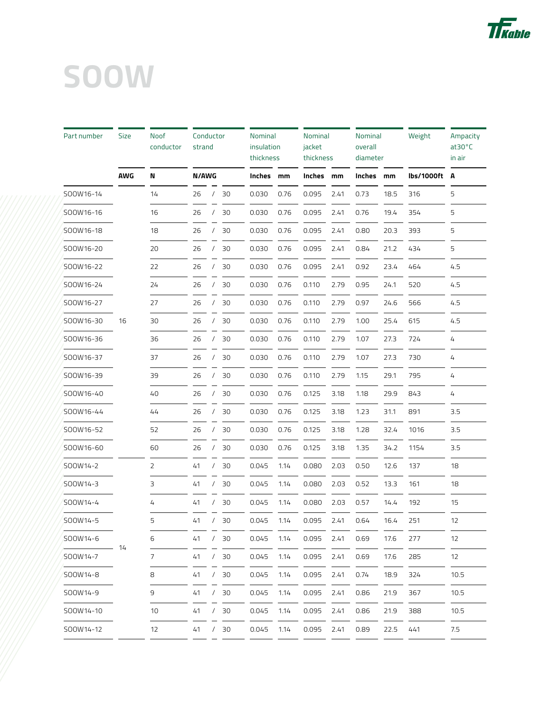

| Part number | Size       | Noof<br>conductor | Conductor<br>strand |            |    | Nominal<br>insulation<br>thickness |      | Nominal<br>jacket<br>thickness |      | Nominal<br>overall<br>diameter |      | Weight     | Ampacity<br>at30°C<br>in air |
|-------------|------------|-------------------|---------------------|------------|----|------------------------------------|------|--------------------------------|------|--------------------------------|------|------------|------------------------------|
|             | <b>AWG</b> | N                 | N/AWG               |            |    | Inches                             | mm   | Inches                         | mm   | Inches                         | mm   | lbs/1000ft | A                            |
| SOOW16-14   |            | 14                | 26                  |            | 30 | 0.030                              | 0.76 | 0.095                          | 2.41 | 0.73                           | 18.5 | 316        | 5                            |
| SOOW16-16   |            | 16                | 26                  |            | 30 | 0.030                              | 0.76 | 0.095                          | 2.41 | 0.76                           | 19.4 | 354        | 5                            |
| SOOW16-18   |            | 18                | 26                  |            | 30 | 0.030                              | 0.76 | 0.095                          | 2.41 | 0.80                           | 20.3 | 393        | 5                            |
| SOOW16-20   |            | 20                | 26                  |            | 30 | 0.030                              | 0.76 | 0.095                          | 2.41 | 0.84                           | 21.2 | 434        | 5                            |
| SOOW16-22   |            | 22                | 26                  |            | 30 | 0.030                              | 0.76 | 0.095                          | 2.41 | 0.92                           | 23.4 | 464        | 4.5                          |
| SOOW16-24   |            | 24                | 26                  |            | 30 | 0.030                              | 0.76 | 0.110                          | 2.79 | 0.95                           | 24.1 | 520        | 4.5                          |
| SOOW16-27   |            | 27                | 26                  |            | 30 | 0.030                              | 0.76 | 0.110                          | 2.79 | 0.97                           | 24.6 | 566        | 4.5                          |
| SOOW16-30   | 16         | 30                | 26                  |            | 30 | 0.030                              | 0.76 | 0.110                          | 2.79 | 1.00                           | 25.4 | 615        | 4.5                          |
| SOOW16-36   |            | 36                | 26                  |            | 30 | 0.030                              | 0.76 | 0.110                          | 2.79 | 1.07                           | 27.3 | 724        | 4                            |
| SOOW16-37   |            | 37                | 26                  |            | 30 | 0.030                              | 0.76 | 0.110                          | 2.79 | 1.07                           | 27.3 | 730        | 4                            |
| SOOW16-39   |            | 39                | 26                  | $\prime$   | 30 | 0.030                              | 0.76 | 0.110                          | 2.79 | 1.15                           | 29.1 | 795        | 4                            |
| SOOW16-40   |            | 40                | 26                  |            | 30 | 0.030                              | 0.76 | 0.125                          | 3.18 | 1.18                           | 29.9 | 843        | 4                            |
| SOOW16-44   |            | 44                | 26                  | 7          | 30 | 0.030                              | 0.76 | 0.125                          | 3.18 | 1.23                           | 31.1 | 891        | 3.5                          |
| SOOW16-52   |            | 52                | 26                  |            | 30 | 0.030                              | 0.76 | 0.125                          | 3.18 | 1.28                           | 32.4 | 1016       | 3.5                          |
| SOOW16-60   |            | 60                | 26                  |            | 30 | 0.030                              | 0.76 | 0.125                          | 3.18 | 1.35                           | 34.2 | 1154       | 3.5                          |
| SOOW14-2    |            | 2                 | 41                  | $\prime$   | 30 | 0.045                              | 1.14 | 0.080                          | 2.03 | 0.50                           | 12.6 | 137        | 18                           |
| SOOW14-3    |            | 3                 | 41                  |            | 30 | 0.045                              | 1.14 | 0.080                          | 2.03 | 0.52                           | 13.3 | 161        | 18                           |
| SOOW14-4    |            | 4                 | 41                  |            | 30 | 0.045                              | 1.14 | 0.080                          | 2.03 | 0.57                           | 14.4 | 192        | 15                           |
| SOOW14-5    |            | 5                 | 41                  | $\prime$   | 30 | 0.045                              | 1.14 | 0.095                          | 2.41 | 0.64                           | 16.4 | 251        | 12                           |
| SOOW14-6    |            | 6                 | 41                  | $\sqrt{2}$ | 30 | 0.045                              | 1.14 | 0.095                          | 2.41 | 0.69                           | 17.6 | 277        | 12                           |
| SOOW14-7    | -14        | 7                 | 41                  | $\prime$   | 30 | 0.045                              | 1.14 | 0.095                          | 2.41 | 0.69                           | 17.6 | 285        | 12                           |
| SOOW14-8    |            | 8                 | 41                  | $\prime$   | 30 | 0.045                              | 1.14 | 0.095                          | 2.41 | 0.74                           | 18.9 | 324        | 10.5                         |
| SOOW14-9    |            | 9                 | 41                  |            | 30 | 0.045                              | 1.14 | 0.095                          | 2.41 | 0.86                           | 21.9 | 367        | 10.5                         |
| SOOW14-10   |            | 10                | 41                  | $\prime$   | 30 | 0.045                              | 1.14 | 0.095                          | 2.41 | 0.86                           | 21.9 | 388        | 10.5                         |
| SOOW14-12   |            | 12                | 41                  | $\sqrt{2}$ | 30 | 0.045                              | 1.14 | 0.095                          | 2.41 | 0.89                           | 22.5 | 441        | 7.5                          |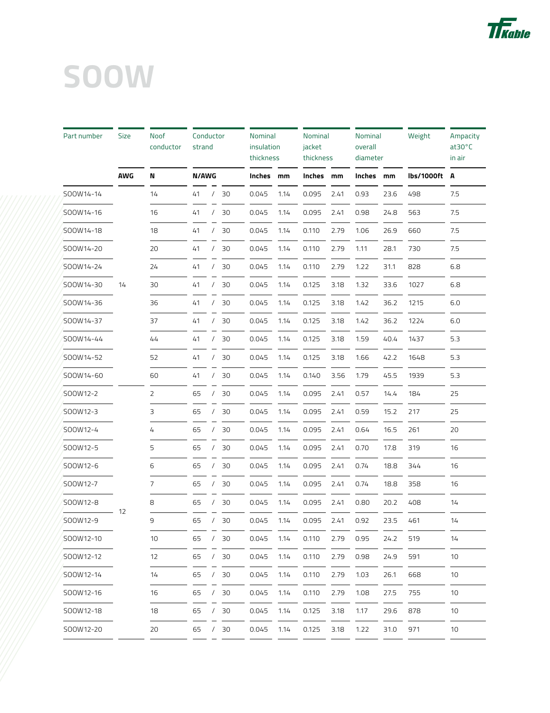

| Part number | <b>Size</b> | Noof<br>conductor | Conductor<br>strand |            |     |        | Nominal<br>insulation<br>thickness |        | Nominal<br>jacket<br>thickness |        | Nominal<br>diameter | Weight     | Ampacity<br>at30°C<br>in air |
|-------------|-------------|-------------------|---------------------|------------|-----|--------|------------------------------------|--------|--------------------------------|--------|---------------------|------------|------------------------------|
|             | <b>AWG</b>  | N                 | <b>N/AWG</b>        |            |     | Inches | mm                                 | Inches | mm                             | Inches | mm                  | lbs/1000ft | A                            |
| SOOW14-14   |             | 14                | 41                  |            | 30  | 0.045  | 1.14                               | 0.095  | 2.41                           | 0.93   | 23.6                | 498        | 7.5                          |
| SOOW14-16   |             | 16                | 41                  |            | 30  | 0.045  | 1.14                               | 0.095  | 2.41                           | 0.98   | 24.8                | 563        | 7.5                          |
| SOOW14-18   |             | 18                | 41                  |            | 30  | 0.045  | 1.14                               | 0.110  | 2.79                           | 1.06   | 26.9                | 660        | 7.5                          |
| SOOW14-20   |             | 20                | 41                  |            | 30  | 0.045  | 1.14                               | 0.110  | 2.79                           | 1.11   | 28.1                | 730        | 7.5                          |
| SOOW14-24   |             | 24                | 41                  |            | 30  | 0.045  | 1.14                               | 0.110  | 2.79                           | 1.22   | 31.1                | 828        | 6.8                          |
| SOOW14-30   | 14          | 30                | 41                  |            | 30  | 0.045  | 1.14                               | 0.125  | 3.18                           | 1.32   | 33.6                | 1027       | 6.8                          |
| SOOW14-36   |             | 36                | 41                  |            | 30  | 0.045  | 1.14                               | 0.125  | 3.18                           | 1.42   | 36.2                | 1215       | 6.0                          |
| SOOW14-37   |             | 37                | 41                  | $\prime$   | 30  | 0.045  | 1.14                               | 0.125  | 3.18                           | 1.42   | 36.2                | 1224       | 6.0                          |
| SOOW14-44   |             | 44                | 41                  | $\prime$   | 30  | 0.045  | 1.14                               | 0.125  | 3.18                           | 1.59   | 40.4                | 1437       | 5.3                          |
| SOOW14-52   |             | 52                | 41                  |            | 30  | 0.045  | 1.14                               | 0.125  | 3.18                           | 1.66   | 42.2                | 1648       | 5.3                          |
| SOOW14-60   |             | 60                | 41                  | $\prime$   | 30  | 0.045  | 1.14                               | 0.140  | 3.56                           | 1.79   | 45.5                | 1939       | 5.3                          |
| SOOW12-2    |             | 2                 | 65                  |            | 30  | 0.045  | 1.14                               | 0.095  | 2.41                           | 0.57   | 14.4                | 184        | 25                           |
| SOOW12-3    |             | 3                 | 65                  |            | 30  | 0.045  | 1.14                               | 0.095  | 2.41                           | 0.59   | 15.2                | 217        | 25                           |
| SOOW12-4    |             | 4                 | 65                  |            | 30  | 0.045  | 1.14                               | 0.095  | 2.41                           | 0.64   | 16.5                | 261        | 20                           |
| SOOW12-5    |             | 5                 | 65                  |            | 30  | 0.045  | 1.14                               | 0.095  | 2.41                           | 0.70   | 17.8                | 319        | 16                           |
| SOOW12-6    |             | 6                 | 65                  |            | 30  | 0.045  | 1.14                               | 0.095  | 2.41                           | 0.74   | 18.8                | 344        | 16                           |
| SOOW12-7    |             | 7                 | 65                  |            | 30  | 0.045  | 1.14                               | 0.095  | 2.41                           | 0.74   | 18.8                | 358        | 16                           |
| SOOW12-8    |             | 8                 | 65                  |            | 30  | 0.045  | 1.14                               | 0.095  | 2.41                           | 0.80   | 20.2                | 408        | 14                           |
| SOOW12-9    | 12          | 9                 | 65                  | $\prime$   | 30  | 0.045  | 1.14                               | 0.095  | 2.41                           | 0.92   | 23.5                | 461        | 14                           |
| SOOW12-10   |             | 10                | 65                  | $\prime$   | 30  | 0.045  | 1.14                               | 0.110  | 2.79                           | 0.95   | 24.2                | 519        | 14                           |
| SOOW12-12   |             | 12                | 65                  | $\prime$   | 30  | 0.045  | 1.14                               | 0.110  | 2.79                           | 0.98   | 24.9                | 591        | 10                           |
| SOOW12-14   |             | 14                | 65                  |            | /30 | 0.045  | 1.14                               | 0.110  | 2.79                           | 1.03   | 26.1                | 668        | 10                           |
| SOOW12-16   |             | 16                | 65                  |            | 30  | 0.045  | 1.14                               | 0.110  | 2.79                           | 1.08   | 27.5                | 755        | 10                           |
| SOOW12-18   |             | 18                | 65                  | $\prime$   | 30  | 0.045  | 1.14                               | 0.125  | 3.18                           | 1.17   | 29.6                | 878        | 10                           |
| SOOW12-20   |             | 20                | 65                  | $\sqrt{2}$ | 30  | 0.045  | 1.14                               | 0.125  | 3.18                           | 1.22   | 31.0                | 971        | 10                           |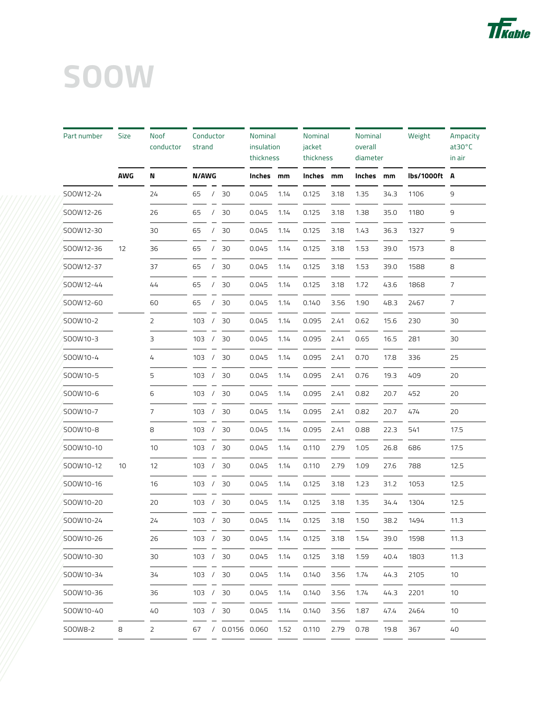

| Part number | Size | Noof<br>conductor | Conductor<br>strand |            |                | <b>Nominal</b><br>insulation<br>thickness |      | Nominal<br>jacket<br>thickness |      | Nominal<br>overall<br>diameter |      | Weight     | Ampacity<br>$at30^{\circ}$ C<br>in air |
|-------------|------|-------------------|---------------------|------------|----------------|-------------------------------------------|------|--------------------------------|------|--------------------------------|------|------------|----------------------------------------|
|             | AWG  | N                 | N/AWG               |            |                | Inches mm                                 |      | Inches                         | mm   | Inches                         | mm   | lbs/1000ft | А                                      |
| SOOW12-24   |      | 24                | 65                  | $\prime$   | 30             | 0.045                                     | 1.14 | 0.125                          | 3.18 | 1.35                           | 34.3 | 1106       | 9                                      |
| SOOW12-26   |      | 26                | 65                  |            | 30             | 0.045                                     | 1.14 | 0.125                          | 3.18 | 1.38                           | 35.0 | 1180       | 9                                      |
| SOOW12-30   |      | 30                | 65                  | $\prime$   | 30             | 0.045                                     | 1.14 | 0.125                          | 3.18 | 1.43                           | 36.3 | 1327       | 9                                      |
| SOOW12-36   | 12   | 36                | 65                  |            | 30             | 0.045                                     | 1.14 | 0.125                          | 3.18 | 1.53                           | 39.0 | 1573       | 8                                      |
| SOOW12-37   |      | 37                | 65                  |            | 30             | 0.045                                     | 1.14 | 0.125                          | 3.18 | 1.53                           | 39.0 | 1588       | 8                                      |
| SOOW12-44   |      | 44                | 65                  |            | 30             | 0.045                                     | 1.14 | 0.125                          | 3.18 | 1.72                           | 43.6 | 1868       | 7                                      |
| SOOW12-60   |      | 60                | 65                  |            | 30             | 0.045                                     | 1.14 | 0.140                          | 3.56 | 1.90                           | 48.3 | 2467       | $\overline{7}$                         |
| SOOW10-2    |      | $\overline{2}$    | 103                 |            | 30             | 0.045                                     | 1.14 | 0.095                          | 2.41 | 0.62                           | 15.6 | 230        | 30                                     |
| SOOW10-3    |      | 3                 | 103                 |            | 30             | 0.045                                     | 1.14 | 0.095                          | 2.41 | 0.65                           | 16.5 | 281        | 30                                     |
| SOOW10-4    |      | 4                 | 103                 |            | 30             | 0.045                                     | 1.14 | 0.095                          | 2.41 | 0.70                           | 17.8 | 336        | 25                                     |
| SOOW10-5    |      | 5                 | 103                 | $\prime$   | 30             | 0.045                                     | 1.14 | 0.095                          | 2.41 | 0.76                           | 19.3 | 409        | 20                                     |
| SOOW10-6    |      | 6                 | 103                 |            | 30             | 0.045                                     | 1.14 | 0.095                          | 2.41 | 0.82                           | 20.7 | 452        | 20                                     |
| SOOW10-7    |      | 7                 | 103                 |            | 30             | 0.045                                     | 1.14 | 0.095                          | 2.41 | 0.82                           | 20.7 | 474        | 20                                     |
| SOOW10-8    |      | 8                 | 103                 | $\sqrt{ }$ | 30             | 0.045                                     | 1.14 | 0.095                          | 2.41 | 0.88                           | 22.3 | 541        | 17.5                                   |
| SOOW10-10   |      | 10                | 103                 |            | 30             | 0.045                                     | 1.14 | 0.110                          | 2.79 | 1.05                           | 26.8 | 686        | 17.5                                   |
| SOOW10-12   | 10   | 12                | 103                 |            | 30             | 0.045                                     | 1.14 | 0.110                          | 2.79 | 1.09                           | 27.6 | 788        | 12.5                                   |
| SOOW10-16   |      | 16                | 103                 |            | 30             | 0.045                                     | 1.14 | 0.125                          | 3.18 | 1.23                           | 31.2 | 1053       | 12.5                                   |
| SOOW10-20   |      | 20                | 103                 |            | 30             | 0.045                                     | 1.14 | 0.125                          | 3.18 | 1.35                           | 34.4 | 1304       | 12.5                                   |
| SOOW10-24   |      | 24                | 103                 | $\sqrt{2}$ | 30             | 0.045                                     | 1.14 | 0.125                          | 3.18 | 1.50                           | 38.2 | 1494       | 11.3                                   |
| SOOW10-26   |      | 26                | 103 / 30            |            |                | 0.045                                     | 1.14 | 0.125                          | 3.18 | 1.54                           | 39.0 | 1598       | 11.3                                   |
| SOOW10-30   |      | 30                | 103                 | $\sqrt{2}$ | 30             | 0.045                                     | 1.14 | 0.125                          | 3.18 | 1.59                           | 40.4 | 1803       | 11.3                                   |
| SOOW10-34   |      | 34                | 103 /               |            | 30             | 0.045                                     | 1.14 | 0.140                          | 3.56 | 1.74                           | 44.3 | 2105       | 10                                     |
| SOOW10-36   |      | 36                | 103                 |            | 30             | 0.045                                     | 1.14 | 0.140                          | 3.56 | 1.74                           | 44.3 | 2201       | 10                                     |
| SOOW10-40   |      | 40                | 103                 | $\prime$   | 30             | 0.045                                     | 1.14 | 0.140                          | 3.56 | 1.87                           | 47.4 | 2464       | 10                                     |
| SOOW8-2     | 8    | 2                 | 67                  |            | / 0.0156 0.060 |                                           | 1.52 | 0.110                          | 2.79 | 0.78                           | 19.8 | 367        | 40                                     |